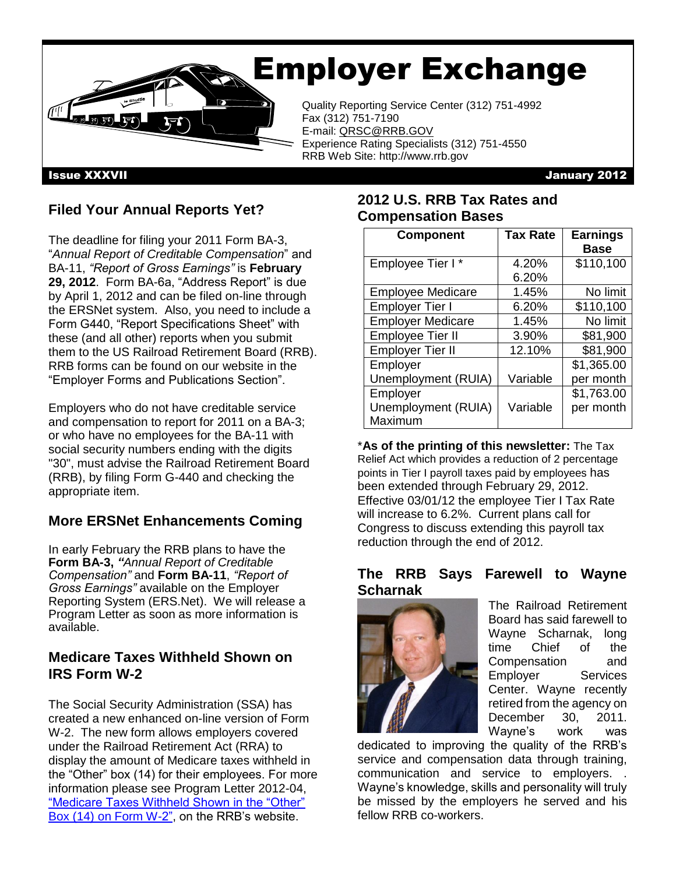# Employer Exchange

Quality Reporting Service Center (312) 751-4992<br>Fax (312) 751-7190 Fax (312) 751-7190 E-mail: QRSC@RRB.GOV Experience Rating Specialists (312) 751-4550 RRB Web Site: http://www.rrb.gov

Issue XXXVII January 2012

## **Filed Your Annual Reports Yet?**

The deadline for filing your 2011 Form BA-3, "*Annual Report of Creditable Compensation*" and BA-11, *"Report of Gross Earnings"* is **February 29, 2012**. Form BA-6a, "Address Report" is due by April 1, 2012 and can be filed on-line through the ERSNet system. Also, you need to include a Form G440, "Report Specifications Sheet" with these (and all other) reports when you submit them to the US Railroad Retirement Board (RRB). RRB forms can be found on our website in the "Employer Forms and Publications Section".

Employers who do not have creditable service and compensation to report for 2011 on a BA-3; or who have no employees for the BA-11 with social security numbers ending with the digits "30", must advise the Railroad Retirement Board (RRB), by filing Form G-440 and checking the appropriate item.

#### **More ERSNet Enhancements Coming**

In early February the RRB plans to have the **Form BA-3,** *"Annual Report of Creditable Compensation"* and **Form BA-11**, *"Report of Gross Earnings"* available on the Employer Reporting System (ERS.Net). We will release a Program Letter as soon as more information is available.

#### **Medicare Taxes Withheld Shown on IRS Form W-2**

The Social Security Administration (SSA) has created a new enhanced on-line version of Form W-2. The new form allows employers covered under the Railroad Retirement Act (RRA) to display the amount of Medicare taxes withheld in the "Other" box (14) for their employees. For more information please see Program Letter 2012-04, ["Medicare Taxes Withheld Shown in the "Other"](/Employers/Publications/ProgramAndCircularLetters/PL12-04)  [Box \(14\) on Form W-2",](/Employers/Publications/ProgramAndCircularLetters/PL12-04) on the RRB's website.

#### **2012 U.S. RRB Tax Rates and Compensation Bases**

| <b>Component</b>         | <b>Tax Rate</b> | <b>Earnings</b><br><b>Base</b> |
|--------------------------|-----------------|--------------------------------|
| Employee Tier I          | 4.20%           | \$110,100                      |
|                          | 6.20%           |                                |
| <b>Employee Medicare</b> | 1.45%           | No limit                       |
| <b>Employer Tier I</b>   | 6.20%           | \$110,100                      |
| <b>Employer Medicare</b> | 1.45%           | No limit                       |
| <b>Employee Tier II</b>  | 3.90%           | \$81,900                       |
| <b>Employer Tier II</b>  | 12.10%          | \$81,900                       |
| Employer                 |                 | \$1,365.00                     |
| Unemployment (RUIA)      | Variable        | per month                      |
| Employer                 |                 | \$1,763.00                     |
| Unemployment (RUIA)      | Variable        | per month                      |
| Maximum                  |                 |                                |

\***As of the printing of this newsletter:** The Tax Relief Act which provides a reduction of 2 percentage points in Tier I payroll taxes paid by employees has been extended through February 29, 2012. Effective 03/01/12 the employee Tier I Tax Rate will increase to 6.2%. Current plans call for Congress to discuss extending this payroll tax reduction through the end of 2012.

#### **The RRB Says Farewell to Wayne Scharnak**



The Railroad Retirement Board has said farewell to Wayne Scharnak, long time Chief of the Compensation and Employer Services Center. Wayne recently retired from the agency on December 30, 2011. Wayne's work was

dedicated to improving the quality of the RRB's service and compensation data through training, communication and service to employers. . Wayne's knowledge, skills and personality will truly be missed by the employers he served and his fellow RRB co-workers.